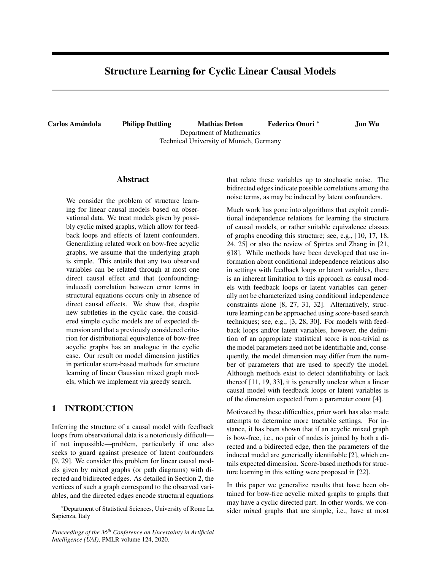# Structure Learning for Cyclic Linear Causal Models

Carlos Améndola Philipp Dettling Mathias Drton Department of Mathematics Technical University of Munich, Germany Federica Onori <sup>∗</sup> Jun Wu

### Abstract

We consider the problem of structure learning for linear causal models based on observational data. We treat models given by possibly cyclic mixed graphs, which allow for feedback loops and effects of latent confounders. Generalizing related work on bow-free acyclic graphs, we assume that the underlying graph is simple. This entails that any two observed variables can be related through at most one direct causal effect and that (confoundinginduced) correlation between error terms in structural equations occurs only in absence of direct causal effects. We show that, despite new subtleties in the cyclic case, the considered simple cyclic models are of expected dimension and that a previously considered criterion for distributional equivalence of bow-free acyclic graphs has an analogue in the cyclic case. Our result on model dimension justifies in particular score-based methods for structure learning of linear Gaussian mixed graph models, which we implement via greedy search.

## 1 INTRODUCTION

Inferring the structure of a causal model with feedback loops from observational data is a notoriously difficult if not impossible—problem, particularly if one also seeks to guard against presence of latent confounders [9, 29]. We consider this problem for linear causal models given by mixed graphs (or path diagrams) with directed and bidirected edges. As detailed in Section 2, the vertices of such a graph correspond to the observed variables, and the directed edges encode structural equations that relate these variables up to stochastic noise. The bidirected edges indicate possible correlations among the noise terms, as may be induced by latent confounders.

Much work has gone into algorithms that exploit conditional independence relations for learning the structure of causal models, or rather suitable equivalence classes of graphs encoding this structure; see, e.g., [10, 17, 18, 24, 25] or also the review of Spirtes and Zhang in [21, §18]. While methods have been developed that use information about conditional independence relations also in settings with feedback loops or latent variables, there is an inherent limitation to this approach as causal models with feedback loops or latent variables can generally not be characterized using conditional independence constraints alone [8, 27, 31, 32]. Alternatively, structure learning can be approached using score-based search techniques; see, e.g., [3, 28, 30]. For models with feedback loops and/or latent variables, however, the definition of an appropriate statistical score is non-trivial as the model parameters need not be identifiable and, consequently, the model dimension may differ from the number of parameters that are used to specify the model. Although methods exist to detect identifiability or lack thereof [11, 19, 33], it is generally unclear when a linear causal model with feedback loops or latent variables is of the dimension expected from a parameter count [4].

Motivated by these difficulties, prior work has also made attempts to determine more tractable settings. For instance, it has been shown that if an acyclic mixed graph is bow-free, i.e., no pair of nodes is joined by both a directed and a bidirected edge, then the parameters of the induced model are generically identifiable [2], which entails expected dimension. Score-based methods for structure learning in this setting were proposed in [22].

In this paper we generalize results that have been obtained for bow-free acyclic mixed graphs to graphs that may have a cyclic directed part. In other words, we consider mixed graphs that are simple, i.e., have at most

<sup>∗</sup>Department of Statistical Sciences, University of Rome La Sapienza, Italy

*Proceedings of the 36th Conference on Uncertainty in Artificial Intelligence (UAI)*, PMLR volume 124, 2020.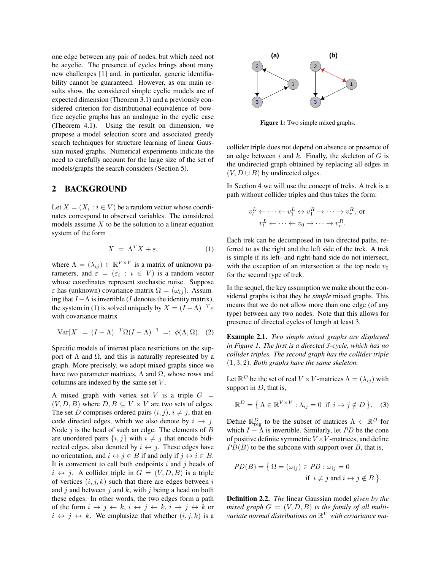one edge between any pair of nodes, but which need not be acyclic. The presence of cycles brings about many new challenges [1] and, in particular, generic identifiability cannot be guaranteed. However, as our main results show, the considered simple cyclic models are of expected dimension (Theorem 3.1) and a previously considered criterion for distributional equivalence of bowfree acyclic graphs has an analogue in the cyclic case (Theorem 4.1). Using the result on dimension, we propose a model selection score and associated greedy search techniques for structure learning of linear Gaussian mixed graphs. Numerical experiments indicate the need to carefully account for the large size of the set of models/graphs the search considers (Section 5).

### 2 BACKGROUND

Let  $X = (X_i : i \in V)$  be a random vector whose coordinates correspond to observed variables. The considered models assume  $X$  to be the solution to a linear equation system of the form

$$
X = \Lambda^T X + \varepsilon,\tag{1}
$$

where  $\Lambda = (\lambda_{ij}) \in \mathbb{R}^{V \times V}$  is a matrix of unknown parameters, and  $\varepsilon = (\varepsilon_i : i \in V)$  is a random vector whose coordinates represent stochastic noise. Suppose  $\varepsilon$  has (unknown) covariance matrix  $\Omega = (\omega_{ij})$ . Assuming that  $I - \Lambda$  is invertible (I denotes the identity matrix), the system in (1) is solved uniquely by  $X = (I - \Lambda)^{-T} \varepsilon$ with covariance matrix

$$
Var[X] = (I - \Lambda)^{-T} \Omega (I - \Lambda)^{-1} =: \phi(\Lambda, \Omega). \tag{2}
$$

Specific models of interest place restrictions on the support of  $\Lambda$  and  $\Omega$ , and this is naturally represented by a graph. More precisely, we adopt mixed graphs since we have two parameter matrices,  $\Lambda$  and  $\Omega$ , whose rows and columns are indexed by the same set V .

A mixed graph with vertex set V is a triple  $G =$  $(V, D, B)$  where  $D, B \subseteq V \times V$  are two sets of edges. The set D comprises ordered pairs  $(i, j)$ ,  $i \neq j$ , that encode directed edges, which we also denote by  $i \rightarrow j$ . Node  $j$  is the head of such an edge. The elements of  $B$ are unordered pairs  $\{i, j\}$  with  $i \neq j$  that encode bidirected edges, also denoted by  $i \leftrightarrow j$ . These edges have no orientation, and  $i \leftrightarrow j \in B$  if and only if  $j \leftrightarrow i \in B$ . It is convenient to call both endpoints  $i$  and  $j$  heads of  $i \leftrightarrow j$ . A collider triple in  $G = (V, D, B)$  is a triple of vertices  $(i, j, k)$  such that there are edges between i and j and between j and  $k$ , with j being a head on both these edges. In other words, the two edges form a path of the form  $i \to j \leftarrow k$ ,  $i \leftrightarrow j \leftarrow k$ ,  $i \to j \leftrightarrow k$  or  $i \leftrightarrow j \leftrightarrow k$ . We emphasize that whether  $(i, j, k)$  is a



Figure 1: Two simple mixed graphs.

collider triple does not depend on absence or presence of an edge between  $i$  and  $k$ . Finally, the skeleton of  $G$  is the undirected graph obtained by replacing all edges in  $(V, D \cup B)$  by undirected edges.

In Section 4 we will use the concept of treks. A trek is a path without collider triples and thus takes the form:

$$
v_l^L \leftarrow \dots \leftarrow v_1^L \leftrightarrow v_1^R \to \dots \to v_r^R, \text{ or}
$$

$$
v_l^L \leftarrow \dots \leftarrow v_0 \to \dots \to v_r^R.
$$

Each trek can be decomposed in two directed paths, referred to as the right and the left side of the trek. A trek is simple if its left- and right-hand side do not intersect, with the exception of an intersection at the top node  $v_0$ for the second type of trek.

In the sequel, the key assumption we make about the considered graphs is that they be *simple* mixed graphs. This means that we do not allow more than one edge (of any type) between any two nodes. Note that this allows for presence of directed cycles of length at least 3.

Example 2.1. *Two simple mixed graphs are displayed in Figure 1. The first is a directed 3-cycle, which has no collider triples. The second graph has the collider triple* (1, 3, 2)*. Both graphs have the same skeleton.*

Let  $\mathbb{R}^D$  be the set of real  $V \times V$ -matrices  $\Lambda = (\lambda_{ij})$  with support in  $D$ , that is,

$$
\mathbb{R}^D = \{ \Lambda \in \mathbb{R}^{V \times V} : \lambda_{ij} = 0 \text{ if } i \to j \notin D \}. \quad (3)
$$

Define  $\mathbb{R}^D_{reg}$  to be the subset of matrices  $\Lambda \in \mathbb{R}^D$  for which  $I - \bar{\Lambda}$  is invertible. Similarly, let PD be the cone of positive definite symmetric  $V \times V$ -matrices, and define  $PD(B)$  to be the subcone with support over B, that is,

$$
PD(B) = \{ \Omega = (\omega_{ij}) \in PD : \omega_{ij} = 0
$$
  
if  $i \neq j$  and  $i \leftrightarrow j \notin B \}.$ 

Definition 2.2. *The* linear Gaussian model *given by the* mixed graph  $G = (V, D, B)$  is the family of all multi*variate normal distributions on* R <sup>V</sup> *with covariance ma-*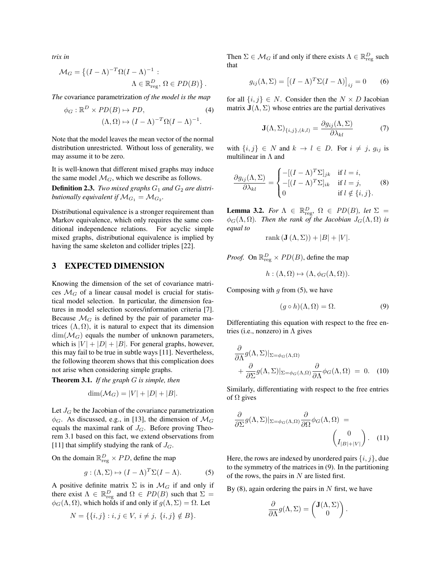*trix in*

$$
\mathcal{M}_G = \left\{ (I - \Lambda)^{-T} \Omega (I - \Lambda)^{-1} : A \in \mathbb{R}^D_{\text{reg}}, \Omega \in PD(B) \right\}.
$$

*The* covariance parametrization *of the model is the map*

$$
\phi_G : \mathbb{R}^D \times PD(B) \mapsto PD, \tag{4}
$$

$$
(\Lambda, \Omega) \mapsto (I - \Lambda)^{-T} \Omega (I - \Lambda)^{-1}.
$$

Note that the model leaves the mean vector of the normal distribution unrestricted. Without loss of generality, we may assume it to be zero.

It is well-known that different mixed graphs may induce the same model  $\mathcal{M}_G$ , which we describe as follows.

**Definition 2.3.** *Two mixed graphs*  $G_1$  *and*  $G_2$  *are distributionally equivalent if*  $\mathcal{M}_{G_1} = \mathcal{M}_{G_2}$ .

Distributional equivalence is a stronger requirement than Markov equivalence, which only requires the same conditional independence relations. For acyclic simple mixed graphs, distributional equivalence is implied by having the same skeleton and collider triples [22].

## 3 EXPECTED DIMENSION

Knowing the dimension of the set of covariance matrices  $\mathcal{M}_G$  of a linear causal model is crucial for statistical model selection. In particular, the dimension features in model selection scores/information criteria [7]. Because  $\mathcal{M}_G$  is defined by the pair of parameter matrices  $(\Lambda, \Omega)$ , it is natural to expect that its dimension  $\dim(\mathcal{M}_G)$  equals the number of unknown parameters, which is  $|V| + |D| + |B|$ . For general graphs, however, this may fail to be true in subtle ways [11]. Nevertheless, the following theorem shows that this complication does not arise when considering simple graphs.

Theorem 3.1. *If the graph* G *is simple, then*

$$
\dim(\mathcal{M}_G) = |V| + |D| + |B|.
$$

Let  $J_G$  be the Jacobian of the covariance parametrization  $\phi_G$ . As discussed, e.g., in [13], the dimension of  $\mathcal{M}_G$ equals the maximal rank of  $J<sub>G</sub>$ . Before proving Theorem 3.1 based on this fact, we extend observations from [11] that simplify studying the rank of  $J_G$ .

On the domain  $\mathbb{R}^D_{\text{reg}} \times PD$ , define the map

$$
g: (\Lambda, \Sigma) \mapsto (I - \Lambda)^T \Sigma (I - \Lambda).
$$
 (5)

A positive definite matrix  $\Sigma$  is in  $\mathcal{M}_G$  if and only if there exist  $\Lambda \in \mathbb{R}^D_{reg}$  and  $\Omega \in PD(B)$  such that  $\Sigma =$  $\phi_G(\Lambda, \Omega)$ , which holds if and only if  $g(\Lambda, \Sigma) = \Omega$ . Let

$$
N = \{ \{i, j\} : i, j \in V, i \neq j, \{i, j\} \notin B \}.
$$

Then  $\Sigma \in \mathcal{M}_G$  if and only if there exists  $\Lambda \in \mathbb{R}^D_{reg}$  such that

$$
g_{ij}(\Lambda, \Sigma) = \left[ (I - \Lambda)^T \Sigma (I - \Lambda) \right]_{ij} = 0 \quad (6)
$$

for all  $\{i, j\} \in N$ . Consider then the  $N \times D$  Jacobian matrix  $J(\Lambda, \Sigma)$  whose entries are the partial derivatives

$$
\mathbf{J}(\Lambda, \Sigma)_{\{i,j\},(k,l)} = \frac{\partial g_{ij}(\Lambda, \Sigma)}{\partial \lambda_{kl}} \tag{7}
$$

with  $\{i, j\} \in N$  and  $k \to l \in D$ . For  $i \neq j$ ,  $g_{ij}$  is multilinear in  $\Lambda$  and

$$
\frac{\partial g_{ij}(\Lambda, \Sigma)}{\partial \lambda_{kl}} = \begin{cases}\n-[ (I - \Lambda)^T \Sigma]_{jk} & \text{if } l = i, \\
-[ (I - \Lambda)^T \Sigma]_{ik} & \text{if } l = j, \\
0 & \text{if } l \notin \{i, j\}.\n\end{cases}
$$
\n(8)

**Lemma 3.2.** For  $\Lambda \in \mathbb{R}^D_{reg}$ ,  $\Omega \in PD(B)$ , let  $\Sigma =$  $\phi_G(\Lambda,\Omega)$ *. Then the rank of the Jacobian*  $J_G(\Lambda,\Omega)$  *is equal to*

$$
rank(\mathbf{J}(\Lambda, \Sigma)) + |B| + |V|.
$$

*Proof.* On  $\mathbb{R}^D_{\text{reg}} \times PD(B)$ , define the map

$$
h: (\Lambda, \Omega) \mapsto (\Lambda, \phi_G(\Lambda, \Omega)).
$$

Composing with  $q$  from (5), we have

$$
(g \circ h)(\Lambda, \Omega) = \Omega.
$$
 (9)

Differentiating this equation with respect to the free entries (i.e., nonzero) in  $\Lambda$  gives

$$
\frac{\partial}{\partial \Lambda} g(\Lambda, \Sigma)|_{\Sigma = \phi_G(\Lambda, \Omega)} \n+ \frac{\partial}{\partial \Sigma} g(\Lambda, \Sigma)|_{\Sigma = \phi_G(\Lambda, \Omega)} \frac{\partial}{\partial \Lambda} \phi_G(\Lambda, \Omega) = 0.
$$
 (10)

Similarly, differentiating with respect to the free entries of  $\Omega$  gives

$$
\frac{\partial}{\partial \Sigma} g(\Lambda, \Sigma)|_{\Sigma = \phi_G(\Lambda, \Omega)} \frac{\partial}{\partial \Omega} \phi_G(\Lambda, \Omega) = \begin{pmatrix} 0 \\ I_{|B|+|V|} \end{pmatrix} . \quad (11)
$$

Here, the rows are indexed by unordered pairs  $\{i, j\}$ , due to the symmetry of the matrices in (9). In the partitioning of the rows, the pairs in  $N$  are listed first.

By  $(8)$ , again ordering the pairs in N first, we have

$$
\frac{\partial}{\partial \Lambda} g(\Lambda, \Sigma) = \begin{pmatrix} \mathbf{J}(\Lambda, \Sigma) \\ 0 \end{pmatrix}.
$$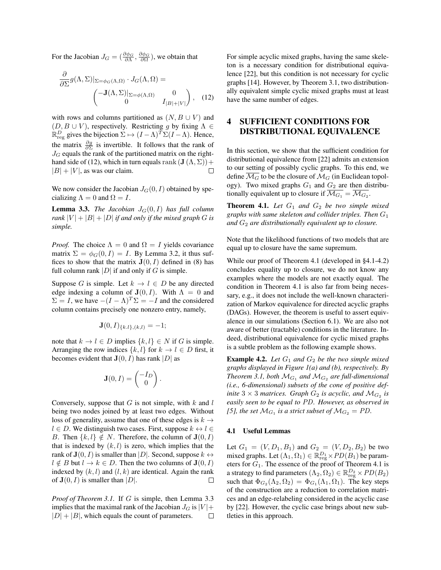For the Jacobian  $J_G = (\frac{\partial \phi_G}{\partial \Lambda}, \frac{\partial \phi_G}{\partial \Omega})$ , we obtain that

$$
\frac{\partial}{\partial \Sigma} g(\Lambda, \Sigma)|_{\Sigma = \phi_G(\Lambda, \Omega)} \cdot J_G(\Lambda, \Omega) = \left( \begin{matrix} -\mathbf{J}(\Lambda, \Sigma)|_{\Sigma = \phi(\Lambda, \Omega)} & 0 \\ 0 & I_{|B|+|V|} \end{matrix} \right), \quad (12)
$$

with rows and columns partitioned as  $(N, B \cup V)$  and  $(D, B \cup V)$ , respectively. Restricting g by fixing  $\Lambda \in$  $\mathbb{R}^D_{\text{reg}}$  gives the bijection  $\Sigma \mapsto (I - \Lambda)^T \Sigma (I - \Lambda)$ . Hence, the matrix  $\frac{\partial g}{\partial \Sigma}$  is invertible. It follows that the rank of  $J_G$  equals the rank of the partitioned matrix on the righthand side of (12), which in turn equals rank  $(\mathbf{J}(\Lambda, \Sigma))$  +  $\Box$  $|B| + |V|$ , as was our claim.

We now consider the Jacobian  $J_G(0, I)$  obtained by specializing  $\Lambda = 0$  and  $\Omega = I$ .

**Lemma 3.3.** *The Jacobian*  $J_G(0, I)$  *has full column rank*  $|V| + |B| + |D|$  *if and only if the mixed graph G is simple.*

*Proof.* The choice  $\Lambda = 0$  and  $\Omega = I$  yields covariance matrix  $\Sigma = \phi_G(0, I) = I$ . By Lemma 3.2, it thus suffices to show that the matrix  $J(0, I)$  defined in (8) has full column rank  $|D|$  if and only if G is simple.

Suppose G is simple. Let  $k \to l \in D$  be any directed edge indexing a column of  $J(0, I)$ . With  $\Lambda = 0$  and  $\Sigma = I$ , we have  $-(I - \Lambda)^T \Sigma = -I$  and the considered column contains precisely one nonzero entry, namely,

$$
\mathbf{J}(0,I)_{\{k,l\},(k,l)}=-1
$$

note that  $k \to l \in D$  implies  $\{k, l\} \in N$  if G is simple. Arranging the row indices  $\{k, l\}$  for  $k \to l \in D$  first, it becomes evident that  $J(0, I)$  has rank |D| as

$$
\mathbf{J}(0,I) = \begin{pmatrix} -I_D \\ 0 \end{pmatrix}.
$$

Conversely, suppose that  $G$  is not simple, with  $k$  and  $l$ being two nodes joined by at least two edges. Without loss of generality, assume that one of these edges is  $k \rightarrow$  $l \in D$ . We distinguish two cases. First, suppose  $k \leftrightarrow l \in$ B. Then  $\{k, l\} \notin N$ . Therefore, the column of  $\mathbf{J}(0, I)$ that is indexed by  $(k, l)$  is zero, which implies that the rank of  $\mathbf{J}(0, I)$  is smaller than  $|D|$ . Second, suppose  $k \leftrightarrow$  $l \notin B$  but  $l \to k \in D$ . Then the two columns of  $\mathbf{J}(0, I)$ indexed by  $(k, l)$  and  $(l, k)$  are identical. Again the rank of  $J(0, I)$  is smaller than  $|D|$ .  $\Box$ 

*Proof of Theorem 3.1.* If G is simple, then Lemma 3.3 implies that the maximal rank of the Jacobian  $J_G$  is  $|V|$  +  $|D| + |B|$ , which equals the count of parameters.  $\Box$  For simple acyclic mixed graphs, having the same skeleton is a necessary condition for distributional equivalence [22], but this condition is not necessary for cyclic graphs [14]. However, by Theorem 3.1, two distributionally equivalent simple cyclic mixed graphs must at least have the same number of edges.

## 4 SUFFICIENT CONDITIONS FOR DISTRIBUTIONAL EQUIVALENCE

In this section, we show that the sufficient condition for distributional equivalence from [22] admits an extension to our setting of possibly cyclic graphs. To this end, we define  $\overline{\mathcal{M}_G}$  to be the closure of  $\mathcal{M}_G$  (in Euclidean topology). Two mixed graphs  $G_1$  and  $G_2$  are then distributionally equivalent up to closure if  $\mathcal{M}_{G_1} = \mathcal{M}_{G_2}.$ 

**Theorem 4.1.** Let  $G_1$  and  $G_2$  be two simple mixed *graphs with same skeleton and collider triples. Then* G<sup>1</sup> *and*  $G_2$  *are distributionally equivalent up to closure.* 

Note that the likelihood functions of two models that are equal up to closure have the same supremum.

While our proof of Theorem 4.1 (developed in §4.1-4.2) concludes equality up to closure, we do not know any examples where the models are not exactly equal. The condition in Theorem 4.1 is also far from being necessary, e.g., it does not include the well-known characterization of Markov equivalence for directed acyclic graphs (DAGs). However, the theorem is useful to assert equivalence in our simulations (Section 6.1). We are also not aware of better (tractable) conditions in the literature. Indeed, distributional equivalence for cyclic mixed graphs is a subtle problem as the following example shows.

**Example 4.2.** Let  $G_1$  and  $G_2$  be the two simple mixed *graphs displayed in Figure 1(a) and (b), respectively. By Theorem 3.1, both*  $\mathcal{M}_{G_1}$  and  $\mathcal{M}_{G_2}$  are full-dimensional *(i.e., 6-dimensional) subsets of the cone of positive definite*  $3 \times 3$  *matrices. Graph*  $G_2$  *is acyclic, and*  $\mathcal{M}_{G_2}$  *is easily seen to be equal to* PD*. However, as observed in* [5], the set  $\mathcal{M}_{G_1}$  is a strict subset of  $\mathcal{M}_{G_2} = PD$ .

#### 4.1 Useful Lemmas

Let  $G_1 = (V, D_1, B_1)$  and  $G_2 = (V, D_2, B_2)$  be two mixed graphs. Let  $(\Lambda_1, \Omega_1) \in \mathbb{R}^{D_1}_{\text{reg}} \times PD(B_1)$  be parameters for  $G_1$ . The essence of the proof of Theorem 4.1 is a strategy to find parameters  $(\Lambda_2,\Omega_2)\in\mathbb{R}^{D_2}_{\text{reg}}\times PD(B_2)$ such that  $\Phi_{G_2}(\Lambda_2, \Omega_2) = \Phi_{G_1}(\Lambda_1, \Omega_1)$ . The key steps of the construction are a reduction to correlation matrices and an edge-relabeling considered in the acyclic case by [22]. However, the cyclic case brings about new subtleties in this approach.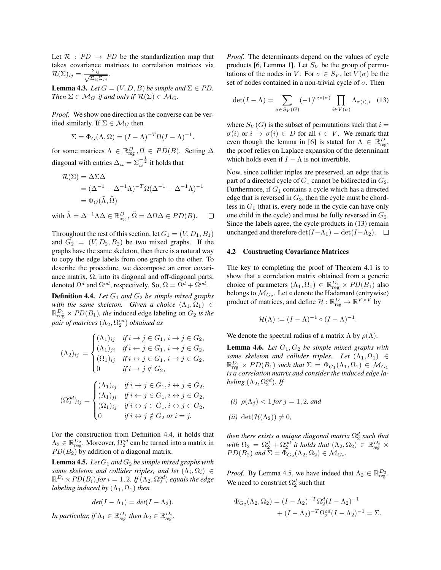Let  $\mathcal{R}$  :  $PD \rightarrow PD$  be the standardization map that takes covariance matrices to correlation matrices via  $\mathcal{R}(\Sigma)_{ij} = \frac{\Sigma_{ij}}{\sqrt{\Sigma_{ij}}}$  $\Sigma_{ii}$ Σ $_{jj}$ .

**Lemma 4.3.** *Let*  $G = (V, D, B)$  *be simple and*  $\Sigma \in PD$ *. Then*  $\Sigma \in \mathcal{M}_G$  *if and only if*  $\mathcal{R}(\Sigma) \in \mathcal{M}_G$ *.* 

*Proof.* We show one direction as the converse can be verified similarly. If  $\Sigma \in \mathcal{M}_G$  then

$$
\Sigma = \Phi_G(\Lambda, \Omega) = (I - \Lambda)^{-T} \Omega (I - \Lambda)^{-1}.
$$

for some matrices  $\Lambda \in \mathbb{R}^D_{reg}$ ,  $\Omega \in PD(B)$ . Setting  $\Delta$ diagonal with entries  $\Delta_{ii} = \sum_{i}^{-\frac{1}{2}}$  it holds that

$$
\mathcal{R}(\Sigma) = \Delta \Sigma \Delta
$$
  
=  $(\Delta^{-1} - \Delta^{-1} \Lambda)^{-T} \Omega (\Delta^{-1} - \Delta^{-1} \Lambda)^{-1}$   
=  $\Phi_G(\tilde{\Lambda}, \tilde{\Omega})$ 

with  $\tilde{\Lambda} = \Delta^{-1} \Lambda \Delta \in \mathbb{R}^D_{\text{reg}}$  ,  $\tilde{\Omega} = \Delta \Omega \Delta \in PD(B)$ .  $\Box$ 

Throughout the rest of this section, let  $G_1 = (V, D_1, B_1)$ and  $G_2 = (V, D_2, B_2)$  be two mixed graphs. If the graphs have the same skeleton, then there is a natural way to copy the edge labels from one graph to the other. To describe the procedure, we decompose an error covariance matrix,  $\Omega$ , into its diagonal and off-diagonal parts, denoted  $\Omega^d$  and  $\Omega^{od}$ , respectively. So,  $\Omega = \Omega^d + \Omega^{od}$ .

**Definition 4.4.** *Let*  $G_1$  *and*  $G_2$  *be simple mixed graphs with the same skeleton. Given a choice*  $(\Lambda_1, \Omega_1) \in$  $\mathbb{R}^{D_1}_{\text{reg}} \times PD(B_1)$ *, the* induced edge labeling on  $G_2$  *is the* pair of matrices  $(\Lambda_2,\Omega_2^{od})$  obtained as

$$
(\Lambda_2)_{ij} = \begin{cases} (\Lambda_1)_{ij} & \text{if } i \to j \in G_1, i \to j \in G_2, \\ (\Lambda_1)_{ji} & \text{if } i \leftarrow j \in G_1, i \to j \in G_2, \\ (\Omega_1)_{ij} & \text{if } i \leftrightarrow j \in G_1, i \to j \in G_2, \\ 0 & \text{if } i \to j \notin G_2, \end{cases}
$$

$$
(\Omega_2^{od})_{ij} = \begin{cases} (\Lambda_1)_{ij} & \text{if } i \to j \in G_1, i \leftrightarrow j \in G_2, \\ (\Lambda_1)_{ji} & \text{if } i \leftarrow j \in G_1, i \leftrightarrow j \in G_2, \\ (\Omega_1)_{ij} & \text{if } i \leftrightarrow j \in G_1, i \leftrightarrow j \in G_2, \\ 0 & \text{if } i \leftrightarrow j \notin G_2 \text{ or } i = j. \end{cases}
$$

For the construction from Definition 4.4, it holds that  $\Lambda_2 \in \mathbb{R}^{D_2}_{\text{reg}}$ . Moreover,  $\Omega_2^{od}$  can be turned into a matrix in  $PD(B_2)$  by addition of a diagonal matrix.

**Lemma 4.5.** *Let*  $G_1$  *and*  $G_2$  *be simple mixed graphs with* same skeleton and collider triples, and let  $(\Lambda_i,\Omega_i)\,\in$  $\mathbb{R}^{D_i} \times \textit{PD}(B_i)$  for  $i=1,2.$  If  $(\Lambda_2,\Omega_2^{od})$  equals the edge *labeling induced by*  $(\Lambda_1, \Omega_1)$  *then* 

$$
det(I - \Lambda_1) = det(I - \Lambda_2).
$$

*In particular, if*  $\Lambda_1 \in \mathbb{R}^{D_1}_{reg}$  *then*  $\Lambda_2 \in \mathbb{R}^{D_2}_{reg}$ *.* 

*Proof.* The determinants depend on the values of cycle products [6, Lemma 1]. Let  $S_V$  be the group of permutations of the nodes in V. For  $\sigma \in S_V$ , let  $V(\sigma)$  be the set of nodes contained in a non-trivial cycle of  $\sigma$ . Then

$$
\det(I - \Lambda) = \sum_{\sigma \in S_V(G)} (-1)^{\text{sgn}(\sigma)} \prod_{i \in V(\sigma)} \Lambda_{\sigma(i), i} \quad (13)
$$

where  $S_V(G)$  is the subset of permutations such that  $i =$  $\sigma(i)$  or  $i \to \sigma(i) \in D$  for all  $i \in V$ . We remark that even though the lemma in [6] is stated for  $\Lambda \in \mathbb{R}^D_{reg}$ , the proof relies on Laplace expansion of the determinant which holds even if  $I - \Lambda$  is not invertible.

Now, since collider triples are preserved, an edge that is part of a directed cycle of  $G_1$  cannot be bidirected in  $G_2$ . Furthermore, if  $G_1$  contains a cycle which has a directed edge that is reversed in  $G_2$ , then the cycle must be chordless in  $G_1$  (that is, every node in the cycle can have only one child in the cycle) and must be fully reversed in  $G_2$ . Since the labels agree, the cycle products in (13) remain unchanged and therefore  $\det(I-\Lambda_1) = \det(I-\Lambda_2)$ .  $\Box$ 

#### 4.2 Constructing Covariance Matrices

The key to completing the proof of Theorem 4.1 is to show that a correlation matrix obtained from a generic choice of parameters  $(\Lambda_1, \Omega_1) \in \mathbb{R}^{D_1}_{reg} \times PD(B_1)$  also belongs to  $\mathcal{M}_{G_2}$ . Let  $\circ$  denote the Hadamard (entrywise) product of matrices, and define  $\mathcal{H}: \mathbb{R}^D_{reg} \to \mathbb{R}^{V \times V}$  by

$$
\mathcal{H}(\Lambda) := (I - \Lambda)^{-1} \circ (I - \Lambda)^{-1}.
$$

We denote the spectral radius of a matrix  $\Lambda$  by  $\rho(\Lambda)$ .

**Lemma 4.6.** *Let*  $G_1$ ,  $G_2$  *be simple mixed graphs with same skeleton and collider triples.* Let  $(\Lambda_1, \Omega_1) \in$  $\mathbb{R}^{D_1}_{reg} \times PD(B_1)$  such that  $\Sigma = \Phi_{G_1}(\Lambda_1, \Omega_1) \in \mathcal{M}_{G_1}$ *is a correlation matrix and consider the induced edge labeling*  $(\Lambda_2, \Omega_2^{od})$ *. If* 

(i) 
$$
\rho(\Lambda_j) < 1
$$
 for  $j = 1, 2$ , and  
(ii)  $\det(\mathcal{H}(\Lambda_2)) \neq 0$ ,

*then there exists a unique diagonal matrix*  $\Omega_2^d$  *such that with*  $\Omega_2 = \Omega_2^d + \Omega_2^{od}$  *it holds that*  $(\Lambda_2, \Omega_2) \in \mathbb{R}_{reg}^{D_2}$  ×  $PD(B_2)$  and  $\Sigma = \Phi_{G_2}(\Lambda_2, \Omega_2) \in \mathcal{M}_{G_2}.$ 

*Proof.* By Lemma 4.5, we have indeed that  $\Lambda_2 \in \mathbb{R}^{D_2}_{reg}$ . We need to construct  $\Omega_2^d$  such that

$$
\Phi_{G_2}(\Lambda_2, \Omega_2) = (I - \Lambda_2)^{-T} \Omega_2^d (I - \Lambda_2)^{-1} + (I - \Lambda_2)^{-T} \Omega_2^d (I - \Lambda_2)^{-1} = \Sigma.
$$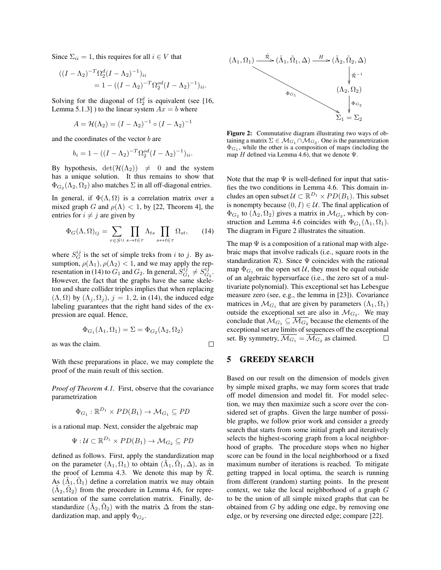Since  $\Sigma_{ii} = 1$ , this requires for all  $i \in V$  that

$$
((I - \Lambda_2)^{-T} \Omega_2^d (I - \Lambda_2)^{-1})_{ii}
$$
  
= 1 - ((I - \Lambda\_2)^{-T} \Omega\_2^{od} (I - \Lambda\_2)^{-1})\_{ii}.

Solving for the diagonal of  $\Omega_2^d$  is equivalent (see [16, Lemma 5.1.3] ) to the linear system  $Ax = b$  where

$$
A = \mathcal{H}(\Lambda_2) = (I - \Lambda_2)^{-1} \circ (I - \Lambda_2)^{-1}
$$

and the coordinates of the vector  $b$  are

$$
b_i = 1 - ((I - \Lambda_2)^{-T} \Omega_2^{od} (I - \Lambda_2)^{-1})_{ii}.
$$

By hypothesis,  $det(\mathcal{H}(\Lambda_2)) \neq 0$  and the system has a unique solution. It thus remains to show that  $\Phi_{G_2}(\Lambda_2, \Omega_2)$  also matches  $\Sigma$  in all off-diagonal entries.

In general, if  $\Phi(\Lambda, \Omega)$  is a correlation matrix over a mixed graph G and  $\rho(\Lambda) < 1$ , by [22, Theorem 4], the entries for  $i \neq j$  are given by

$$
\Phi_G(\Lambda, \Omega)_{ij} = \sum_{\tau \in S^{ij}} \prod_{s \to t \in \tau} \Lambda_{ts} \prod_{s \to t \in \tau} \Omega_{st}, \qquad (14)
$$

where  $S_G^{ij}$  is the set of simple treks from i to j. By assumption,  $\rho(\Lambda_1)$ ,  $\rho(\Lambda_2)$  < 1, and we may apply the representation in (14) to  $G_1$  and  $G_2$ . In general,  $S_{G_1}^{ij} \neq S_{G_2}^{ij}$ . However, the fact that the graphs have the same skeleton and share collider triples implies that when replacing  $(\Lambda, \Omega)$  by  $(\Lambda_i, \Omega_j)$ ,  $j = 1, 2$ , in (14), the induced edge labeling guarantees that the right hand sides of the expression are equal. Hence,

$$
\Phi_{G_1}(\Lambda_1, \Omega_1) = \Sigma = \Phi_{G_2}(\Lambda_2, \Omega_2)
$$

as was the claim.

With these preparations in place, we may complete the proof of the main result of this section.

*Proof of Theorem 4.1.* First, observe that the covariance parametrization

$$
\Phi_{G_1} : \mathbb{R}^{D_1} \times PD(B_1) \to \mathcal{M}_{G_1} \subseteq PD
$$

is a rational map. Next, consider the algebraic map

$$
\Psi: \mathcal{U} \subset \mathbb{R}^{D_1} \times PD(B_1) \to \mathcal{M}_{G_2} \subseteq PD
$$

defined as follows. First, apply the standardization map on the parameter  $(\Lambda_1, \Omega_1)$  to obtain  $(\tilde{\Lambda}_1, \tilde{\Omega}_1, \Delta)$ , as in the proof of Lemma 4.3. We denote this map by  $\mathcal{R}$ . As  $(\tilde{\Lambda}_1, \tilde{\Omega}_1)$  define a correlation matrix we may obtain  $(\tilde{\Lambda}_2, \tilde{\Omega}_2)$  from the procedure in Lemma 4.6, for representation of the same correlation matrix. Finally, destandardize  $(\tilde{\Lambda}_2, \tilde{\Omega}_2)$  with the matrix  $\Delta$  from the standardization map, and apply  $\Phi_{G_2}$ .



Figure 2: Commutative diagram illustrating two ways of obtaining a matrix  $\Sigma \in \mathcal{M}_{G_1} \cap \mathcal{M}_{G_2}$ . One is the parametrization  $\Phi_{G_1}$ , while the other is a composition of maps (including the map H defined via Lemma 4.6), that we denote  $\Psi$ .

Note that the map  $\Psi$  is well-defined for input that satisfies the two conditions in Lemma 4.6. This domain includes an open subset  $\mathcal{U} \subset \mathbb{R}^{D_1} \times PD(B_1)$ . This subset is nonempty because  $(0, I) \in \mathcal{U}$ . The final application of  $\Phi_{G_2}$  to  $(\Lambda_2, \Omega_2)$  gives a matrix in  $\mathcal{M}_{G_2}$ , which by construction and Lemma 4.6 coincides with  $\Phi_{G_1}(\Lambda_1, \Omega_1)$ . The diagram in Figure 2 illustrates the situation.

The map  $\Psi$  is a composition of a rational map with algebraic maps that involve radicals (i.e., square roots in the standardization  $R$ ). Since  $\Psi$  coincides with the rational map  $\Phi_{G_1}$  on the open set U, they must be equal outside of an algebraic hypersurface (i.e., the zero set of a multivariate polynomial). This exceptional set has Lebesgue measure zero (see, e.g., the lemma in [23]). Covariance matrices in  $\mathcal{M}_{G_1}$  that are given by parameters  $(\Lambda_1, \Omega_1)$ outside the exceptional set are also in  $\mathcal{M}_{G_2}$ . We may conclude that  $\mathcal{M}_{G_1} \subseteq \overline{\mathcal{M}_{G_2}}$  because the elements of the exceptional set are limits of sequences off the exceptional set. By symmetry,  $\overline{\mathcal{M}_{G_1}} = \overline{\mathcal{M}_{G_2}}$  as claimed.  $\Box$ 

## 5 GREEDY SEARCH

 $\Box$ 

Based on our result on the dimension of models given by simple mixed graphs, we may form scores that trade off model dimension and model fit. For model selection, we may then maximize such a score over the considered set of graphs. Given the large number of possible graphs, we follow prior work and consider a greedy search that starts from some initial graph and iteratively selects the highest-scoring graph from a local neighborhood of graphs. The procedure stops when no higher score can be found in the local neighborhood or a fixed maximum number of iterations is reached. To mitigate getting trapped in local optima, the search is running from different (random) starting points. In the present context, we take the local neighborhood of a graph G to be the union of all simple mixed graphs that can be obtained from G by adding one edge, by removing one edge, or by reversing one directed edge; compare [22].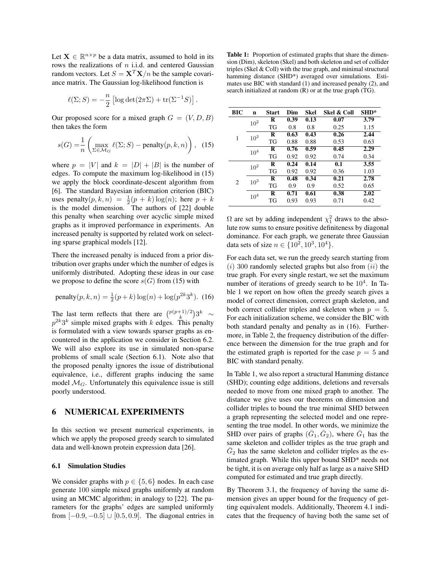Let  $X \in \mathbb{R}^{n \times p}$  be a data matrix, assumed to hold in its rows the realizations of  $n$  i.i.d. and centered Gaussian random vectors. Let  $S = \mathbf{X}^T \mathbf{X}/n$  be the sample covariance matrix. The Gaussian log-likelihood function is

$$
\ell(\Sigma;S) = -\frac{n}{2} \left[ \log \det(2\pi\Sigma) + \text{tr}(\Sigma^{-1}S) \right]
$$

.

Our proposed score for a mixed graph  $G = (V, D, B)$ then takes the form

$$
s(G) = \frac{1}{n} \left( \max_{\Sigma \in \mathcal{M}_G} \ell(\Sigma; S) - \text{penalty}(p, k, n) \right), \tag{15}
$$

where  $p = |V|$  and  $k = |D| + |B|$  is the number of edges. To compute the maximum log-likelihood in (15) we apply the block coordinate-descent algorithm from [6]. The standard Bayesian information criterion (BIC) uses penalty $(p, k, n) = \frac{1}{2}(p + k) \log(n)$ ; here  $p + k$ is the model dimension. The authors of [22] double this penalty when searching over acyclic simple mixed graphs as it improved performance in experiments. An increased penalty is supported by related work on selecting sparse graphical models [12].

There the increased penalty is induced from a prior distribution over graphs under which the number of edges is uniformly distributed. Adopting these ideas in our case we propose to define the score  $s(G)$  from (15) with

penalty
$$
(p, k, n) = \frac{1}{2}(p+k)\log(n) + \log(p^{2k}3^k)
$$
. (16)

The last term reflects that there are  $\binom{p(p+1)/2}{k}3^k \sim$  $p^{2k}3^k$  simple mixed graphs with k edges. This penalty is formulated with a view towards sparser graphs as encountered in the application we consider in Section 6.2. We will also explore its use in simulated non-sparse problems of small scale (Section 6.1). Note also that the proposed penalty ignores the issue of distributional equivalence, i.e., different graphs inducing the same model  $\mathcal{M}_G$ . Unfortunately this equivalence issue is still poorly understood.

## 6 NUMERICAL EXPERIMENTS

In this section we present numerical experiments, in which we apply the proposed greedy search to simulated data and well-known protein expression data [26].

### 6.1 Simulation Studies

We consider graphs with  $p \in \{5, 6\}$  nodes. In each case generate 100 simple mixed graphs uniformly at random using an MCMC algorithm; in analogy to [22]. The parameters for the graphs' edges are sampled uniformly from  $[-0.9, -0.5] \cup [0.5, 0.9]$ . The diagonal entries in

Table 1: Proportion of estimated graphs that share the dimension (Dim), skeleton (Skel) and both skeleton and set of collider triples (Skel & Coll) with the true graph, and minimal structural hamming distance (SHD\*) averaged over simulations. Estimates use BIC with standard (1) and increased penalty (2), and search initialized at random (R) or at the true graph (TG).

| BІC | n               | <b>Start</b> | Dim  | <b>Skel</b> | Skel & Coll | SHD* |
|-----|-----------------|--------------|------|-------------|-------------|------|
|     | 10 <sup>2</sup> | R            | 0.39 | 0.13        | 0.07        | 3.79 |
|     |                 | TG           | 0.8  | 0.8         | 0.25        | 1.15 |
| 1   | $10^{3}$        | R            | 0.63 | 0.43        | 0.26        | 2.44 |
|     |                 | TG           | 0.88 | 0.88        | 0.53        | 0.63 |
|     | $10^{4}$        | R            | 0.76 | 0.59        | 0.45        | 2.29 |
|     |                 | TG           | 0.92 | 0.92        | 0.74        | 0.34 |
|     | $10^{2}$        | R            | 0.24 | 0.14        | 0.1         | 3.55 |
|     |                 | TG           | 0.92 | 0.92        | 0.36        | 1.03 |
| 2   | 10 <sup>3</sup> | R            | 0.48 | 0.34        | 0.21        | 2.78 |
|     |                 | TG           | 0.9  | 0.9         | 0.52        | 0.65 |
|     | $10^{4}$        | R            | 0.71 | 0.61        | 0.38        | 2.02 |
|     |                 | TG           | 0.93 | 0.93        | 0.71        | 0.42 |

 $\Omega$  are set by adding independent  $\chi_1^2$  draws to the absolute row sums to ensure positive definiteness by diagonal dominance. For each graph, we generate three Gaussian data sets of size  $n \in \{10^2, 10^3, 10^4\}.$ 

For each data set, we run the greedy search starting from  $(i)$  300 randomly selected graphs but also from  $(ii)$  the true graph. For every single restart, we set the maximum number of iterations of greedy search to be  $10^4$ . In Table 1 we report on how often the greedy search gives a model of correct dimension, correct graph skeleton, and both correct collider triples and skeleton when  $p = 5$ . For each initialization scheme, we consider the BIC with both standard penalty and penalty as in (16). Furthermore, in Table 2, the frequency distribution of the difference between the dimension for the true graph and for the estimated graph is reported for the case  $p = 5$  and BIC with standard penalty.

In Table 1, we also report a structural Hamming distance (SHD); counting edge additions, deletions and reversals needed to move from one mixed graph to another. The distance we give uses our theorems on dimension and collider triples to bound the true minimal SHD between a graph representing the selected model and one representing the true model. In other words, we minimize the SHD over pairs of graphs  $(\bar{G}_1, \bar{G}_2)$ , where  $\bar{G}_1$  has the same skeleton and collider triples as the true graph and  $\overline{G}_2$  has the same skeleton and collider triples as the estimated graph. While this upper bound SHD\* needs not be tight, it is on average only half as large as a naive SHD computed for estimated and true graph directly.

By Theorem 3.1, the frequency of having the same dimension gives an upper bound for the frequency of getting equivalent models. Additionally, Theorem 4.1 indicates that the frequency of having both the same set of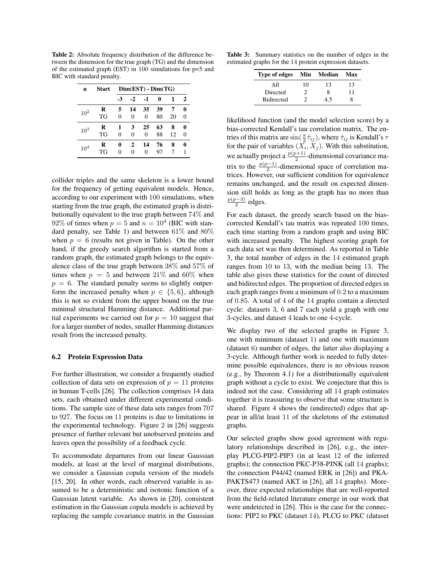Table 2: Absolute frequency distribution of the difference between the dimension for the true graph (TG) and the dimension of the estimated graph (EST) in 100 simulations for p=5 and BIC with standard penalty.

| n        | <b>Start</b> | $Dim(EST) - Dim(TG)$ |          |          |    |    |   |
|----------|--------------|----------------------|----------|----------|----|----|---|
|          |              | -3                   | $-2$     | $-1$     | 0  | 1  | 2 |
| $10^{2}$ | R            | 5                    | 14       | 35       | 39 | 7  | 0 |
|          | TG           | 0                    | $\theta$ | $\theta$ | 80 | 20 | 0 |
| $10^{3}$ | R            | 1                    | 3        | 25       | 63 | 8  | 0 |
|          | TG           | 0                    | $\Omega$ | $\theta$ | 88 | 12 | 0 |
| $10^{4}$ | R            | 0                    | 2        | 14       | 76 | 8  |   |
|          | TG           | 0                    | $\Omega$ | 0        | 97 |    |   |

collider triples and the same skeleton is a lower bound for the frequency of getting equivalent models. Hence, according to our experiment with 100 simulations, when starting from the true graph, the estimated graph is distributionally equivalent to the true graph between 74% and 92% of times when  $p = 5$  and  $n = 10<sup>4</sup>$  (BIC with standard penalty, see Table 1) and between 61% and 80% when  $p = 6$  (results not given in Table). On the other hand, if the greedy search algorithm is started from a random graph, the estimated graph belongs to the equivalence class of the true graph between 38% and 57% of times when  $p = 5$  and between 21% and 60% when  $p = 6$ . The standard penalty seems to slightly outperform the increased penalty when  $p \in \{5, 6\}$ , although this is not so evident from the upper bound on the true minimal structural Hamming distance. Additional partial experiments we carried out for  $p = 10$  suggest that for a larger number of nodes, smaller Hamming distances result from the increased penalty.

### 6.2 Protein Expression Data

For further illustration, we consider a frequently studied collection of data sets on expression of  $p = 11$  proteins in human T-cells [26]. The collection comprises 14 data sets, each obtained under different experimental conditions. The sample size of these data sets ranges from 707 to 927. The focus on 11 proteins is due to limitations in the experimental technology. Figure 2 in [26] suggests presence of further relevant but unobserved proteins and leaves open the possibility of a feedback cycle.

To accommodate departures from our linear Gaussian models, at least at the level of marginal distributions, we consider a Gaussian copula version of the models [15, 20]. In other words, each observed variable is assumed to be a deterministic and isotonic function of a Gaussian latent variable. As shown in [20], consistent estimation in the Gaussian copula models is achieved by replacing the sample covariance matrix in the Gaussian

Table 3: Summary statistics on the number of edges in the estimated graphs for the 14 protein expression datasets.

| <b>Type of edges</b> | Min | Median | Max |
|----------------------|-----|--------|-----|
| All                  | 10  | 13     | 13  |
| Directed             |     | 8      | 11  |
| <b>Bidirected</b>    |     | 4.5    |     |

likelihood function (and the model selection score) by a bias-corrected Kendall's tau correlation matrix. The entries of this matrix are  $\sin(\frac{\pi}{2}\hat{\tau}_{ij})$ , where  $\hat{\tau}_{ij}$  is Kendall's  $\tau$ for the pair of variables  $(X_i, X_j)$ . With this substitution, we actually project a  $\frac{p(p+1)}{2}$ -dimensional covariance matrix to the  $\frac{p(p-1)}{2}$ -dimensional space of correlation matrices. However, our sufficient condition for equivalence remains unchanged, and the result on expected dimension still holds as long as the graph has no more than  $p(p-3)$  $\frac{a^{2}-b}{2}$  edges.

For each dataset, the greedy search based on the biascorrected Kendall's tau matrix was repeated 100 times, each time starting from a random graph and using BIC with increased penalty. The highest scoring graph for each data set was then determined. As reported in Table 3, the total number of edges in the 14 estimated graph ranges from 10 to 13, with the median being 13. The table also gives these statistics for the count of directed and bidirected edges. The proportion of directed edges in each graph ranges from a minimum of 0.2 to a maximum of 0.85. A total of 4 of the 14 graphs contain a directed cycle: datasets 3, 6 and 7 each yield a graph with one 3-cycles, and dataset 4 leads to one 4-cycle.

We display two of the selected graphs in Figure 3, one with minimum (dataset 1) and one with maximum (dataset 6) number of edges, the latter also displaying a 3-cycle. Although further work is needed to fully determine possible equivalences, there is no obvious reason (e.g., by Theorem 4.1) for a distributionally equivalent graph without a cycle to exist. We conjecture that this is indeed not the case. Considering all 14 graph estimates together it is reassuring to observe that some structure is shared. Figure 4 shows the (undirected) edges that appear in all/at least 11 of the skeletons of the estimated graphs.

Our selected graphs show good agreement with regulatory relationships described in [26], e.g., the interplay PLCG-PIP2-PIP3 (in at least 12 of the inferred graphs); the connection PKC-P38-PJNK (all 14 graphs); the connection P44/42 (named ERK in [26]) and PKA-PAKTS473 (named AKT in [26], all 14 graphs). Moreover, three expected relationships that are well-reported from the field-related literature emerge in our work that were undetected in [26]. This is the case for the connections: PIP2 to PKC (dataset 14), PLCG to PKC (dataset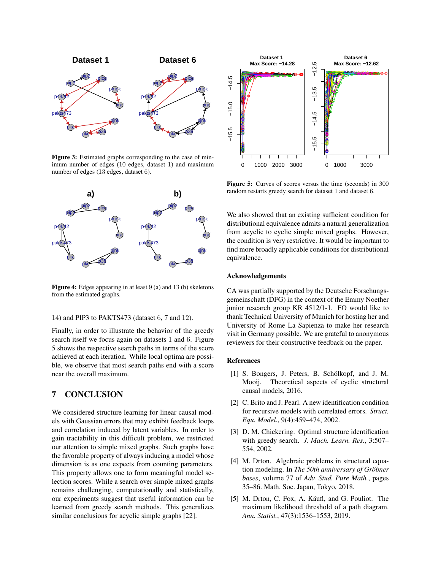

Figure 3: Estimated graphs corresponding to the case of minimum number of edges (10 edges, dataset 1) and maximum number of edges (13 edges, dataset 6).



Figure 4: Edges appearing in at least 9 (a) and 13 (b) skeletons from the estimated graphs.

#### 14) and PIP3 to PAKTS473 (dataset 6, 7 and 12).

Finally, in order to illustrate the behavior of the greedy search itself we focus again on datasets 1 and 6. Figure 5 shows the respective search paths in terms of the score achieved at each iteration. While local optima are possible, we observe that most search paths end with a score near the overall maximum.

## 7 CONCLUSION

We considered structure learning for linear causal models with Gaussian errors that may exhibit feedback loops and correlation induced by latent variables. In order to gain tractability in this difficult problem, we restricted our attention to simple mixed graphs. Such graphs have the favorable property of always inducing a model whose dimension is as one expects from counting parameters. This property allows one to form meaningful model selection scores. While a search over simple mixed graphs remains challenging, computationally and statistically, our experiments suggest that useful information can be learned from greedy search methods. This generalizes similar conclusions for acyclic simple graphs [22].



Figure 5: Curves of scores versus the time (seconds) in 300 random restarts greedy search for dataset 1 and dataset 6.

We also showed that an existing sufficient condition for distributional equivalence admits a natural generalization from acyclic to cyclic simple mixed graphs. However, the condition is very restrictive. It would be important to find more broadly applicable conditions for distributional equivalence.

#### Acknowledgements

CA was partially supported by the Deutsche Forschungsgemeinschaft (DFG) in the context of the Emmy Noether junior research group KR 4512/1-1. FO would like to thank Technical University of Munich for hosting her and University of Rome La Sapienza to make her research visit in Germany possible. We are grateful to anonymous reviewers for their constructive feedback on the paper.

### References

- [1] S. Bongers, J. Peters, B. Schölkopf, and J. M. Mooij. Theoretical aspects of cyclic structural causal models, 2016.
- [2] C. Brito and J. Pearl. A new identification condition for recursive models with correlated errors. *Struct. Equ. Model.*, 9(4):459–474, 2002.
- [3] D. M. Chickering. Optimal structure identification with greedy search. *J. Mach. Learn. Res.*, 3:507– 554, 2002.
- [4] M. Drton. Algebraic problems in structural equation modeling. In *The 50th anniversary of Gröbner bases*, volume 77 of *Adv. Stud. Pure Math.*, pages 35–86. Math. Soc. Japan, Tokyo, 2018.
- [5] M. Drton, C. Fox, A. Käufl, and G. Pouliot. The maximum likelihood threshold of a path diagram. *Ann. Statist.*, 47(3):1536–1553, 2019.